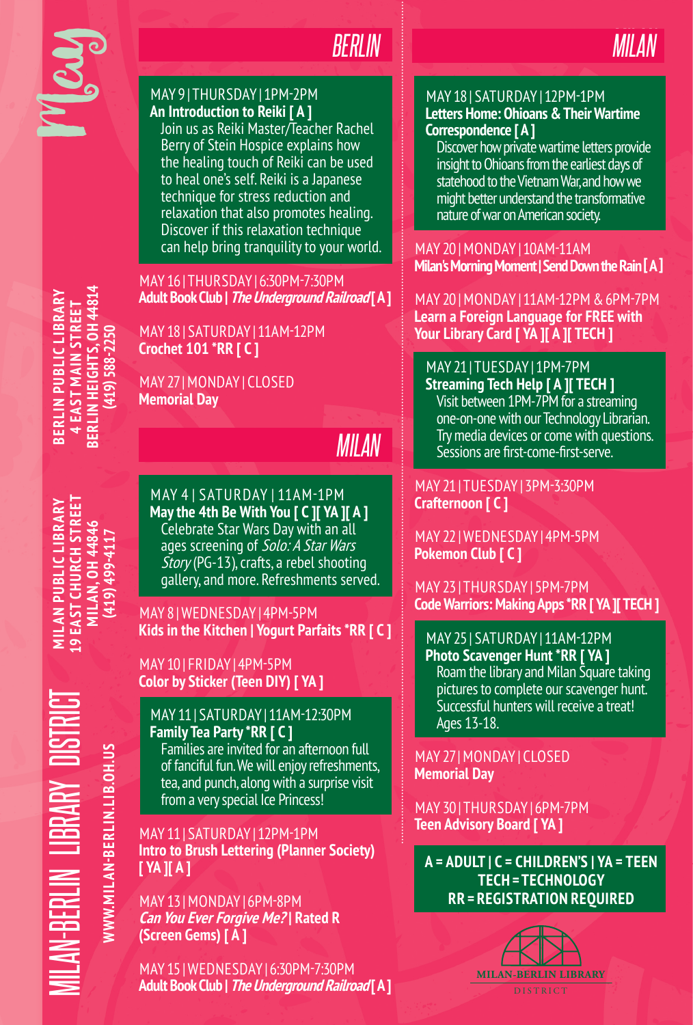

# *BERLIN*

### MAY 9 | THURSDAY | 1PM-2PM **An Introduction to Reiki [ A ]**

Join us as Reiki Master/Teacher Rachel Berry of Stein Hospice explains how the healing touch of Reiki can be used to heal one's self. Reiki is a Japanese technique for stress reduction and relaxation that also promotes healing. Discover if this relaxation technique can help bring tranquility to your world.

# MAY 16 | THURSDAY | 6:30PM-7:30PM **Adult Book Club | The Underground Railroad [ A ]**

MAY 18 | SATURDAY | 11AM-12PM **Crochet 101 \*RR [ C ]**

MAY 27 | MONDAY | CLOSED **Memorial Day**

# *MILAN*

**19 EAST CHURCH STREET MILAN PUBLIC LIBRARY (419) 499-4117**

**BERLIN PUBLIC LIBRARY 4 EAST MAIN STREET BERLIN HEIGHTS, OH 44814 (419) 588-2250**

**SERLIN PUBLIC LIBRAR 4 EAST MAIN STREET** 

**BERLIN HEIGHTS, OH 44814**<br>(419) 588-2250

MAY 4 | SATURDAY | 11AM-1PM **May the 4th Be With You [ C ][ YA ][ A ]** Celebrate Star Wars Day with an all ages screening of Solo: A Star Wars Story (PG-13), crafts, a rebel shooting gallery, and more. Refreshments served.

MAY 8 | WEDNESDAY | 4PM-5PM **Kids in the Kitchen | Yogurt Parfaits \*RR [ C ]**

# MAY 10 | FRIDAY | 4PM-5PM **Color by Sticker (Teen DIY) [ YA ]**

MILAN-BERLIN LIBRARY DISTRICT **MILAN PUBLIC LIBRARY 19 EAST CHURCH STREET MILAN, OH 44846** AN-BERLIN LIBRARY DISTI WWW.MILAN-BERLIN.LIB.OH.US **WWW.MILAN-BERLIN.LIB.OH.US**

MAY 11 | SATURDAY | 11AM-12:30PM **Family Tea Party \*RR [ C ]** Families are invited for an afternoon full

of fanciful fun. We will enjoy refreshments, tea, and punch, along with a surprise visit from a very special Ice Princess!

MAY 11 | SATURDAY | 12PM-1PM **Intro to Brush Lettering (Planner Society) [ YA ][ A ]**

MAY 13 | MONDAY | 6PM-8PM **Can You Ever Forgive Me? | Rated R (Screen Gems) [ A ]**

MAY 15 | WEDNESDAY | 6:30PM-7:30PM **Adult Book Club | The Underground Railroad [ A ]**



# MAY 18 | SATURDAY | 12PM-1PM **Letters Home: Ohioans & Their Wartime Correspondence [ A ]**

Discover how private wartime letters provide insight to Ohioans from the earliest days of statehood to the Vietnam War, and how we might better understand the transformative nature of war on American society.

MAY 20 | MONDAY | 10AM-11AM **Milan's Morning Moment | Send Down the Rain [ A ]**

MAY 20 | MONDAY | 11AM-12PM & 6PM-7PM **Learn a Foreign Language for FREE with Your Library Card [ YA ][ A ][ TECH ]**

MAY 21 | TUESDAY | 1PM-7PM **Streaming Tech Help [ A ][ TECH ]**

Visit between 1PM-7PM for a streaming one-on-one with our Technology Librarian. Try media devices or come with questions. Sessions are first-come-first-serve.

MAY 21 | TUESDAY | 3PM-3:30PM **Crafternoon [ C ]**

MAY 22 | WEDNESDAY | 4PM-5PM **Pokemon Club [ C ]**

MAY 23 | THURSDAY | 5PM-7PM **Code Warriors: Making Apps \*RR [ YA ][ TECH ]**

MAY 25 | SATURDAY | 11AM-12PM **Photo Scavenger Hunt \*RR [ YA ]** Roam the library and Milan Square taking pictures to complete our scavenger hunt. Successful hunters will receive a treat! Ages 13-18.

MAY 27 | MONDAY | CLOSED **Memorial Day** 

MAY 30 | THURSDAY | 6PM-7PM **Teen Advisory Board [ YA ]**

**A = ADULT | C = CHILDREN'S | YA = TEEN TECH = TECHNOLOGY RR = REGISTRATION REQUIRED**